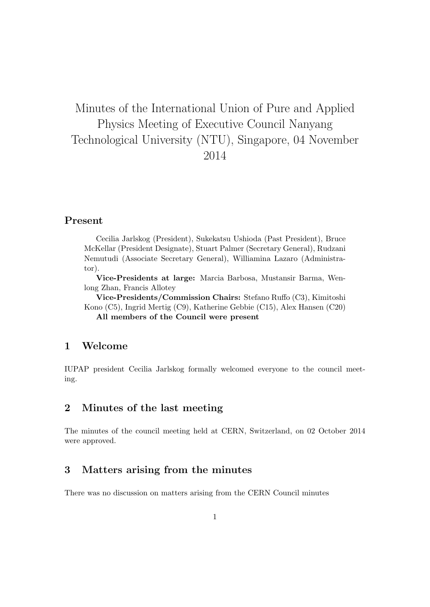# Minutes of the International Union of Pure and Applied Physics Meeting of Executive Council Nanyang Technological University (NTU), Singapore, 04 November 2014

#### Present

Cecilia Jarlskog (President), Sukekatsu Ushioda (Past President), Bruce McKellar (President Designate), Stuart Palmer (Secretary General), Rudzani Nemutudi (Associate Secretary General), Williamina Lazaro (Administrator).

Vice-Presidents at large: Marcia Barbosa, Mustansir Barma, Wenlong Zhan, Francis Allotey

Vice-Presidents/Commission Chairs: Stefano Ruffo (C3), Kimitoshi Kono (C5), Ingrid Mertig (C9), Katherine Gebbie (C15), Alex Hansen (C20) All members of the Council were present

### 1 Welcome

IUPAP president Cecilia Jarlskog formally welcomed everyone to the council meeting.

### 2 Minutes of the last meeting

The minutes of the council meeting held at CERN, Switzerland, on 02 October 2014 were approved.

### 3 Matters arising from the minutes

There was no discussion on matters arising from the CERN Council minutes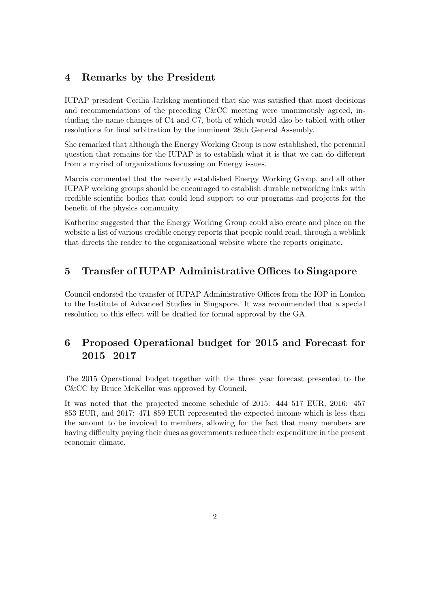### 4 Remarks by the President

IUPAP president Cecilia Jarlskog mentioned that she was satisfied that most decisions and recommendations of the preceding C&CC meeting were unanimously agreed, including the name changes of C4 and C7, both of which would also be tabled with other resolutions for final arbitration by the imminent 28th General Assembly.

She remarked that although the Energy Working Group is now established, the perennial question that remains for the IUPAP is to establish what it is that we can do different from a myriad of organizations focussing on Energy issues.

Marcia commented that the recently established Energy Working Group, and all other IUPAP working groups should be encouraged to establish durable networking links with credible scientific bodies that could lend support to our programs and projects for the benefit of the physics community.

Katherine suggested that the Energy Working Group could also create and place on the website a list of various credible energy reports that people could read, through a weblink that directs the reader to the organizational website where the reports originate.

### 5 Transfer of IUPAP Administrative Offices to Singapore

Council endorsed the transfer of IUPAP Administrative Offices from the IOP in London to the Institute of Advanced Studies in Singapore. It was recommended that a special resolution to this effect will be drafted for formal approval by the GA.

## 6 Proposed Operational budget for 2015 and Forecast for 2015 2017

The 2015 Operational budget together with the three year forecast presented to the C&CC by Bruce McKellar was approved by Council.

It was noted that the projected income schedule of 2015: 444 517 EUR, 2016: 457 853 EUR, and 2017: 471 859 EUR represented the expected income which is less than the amount to be invoiced to members, allowing for the fact that many members are having difficulty paying their dues as governments reduce their expenditure in the present economic climate.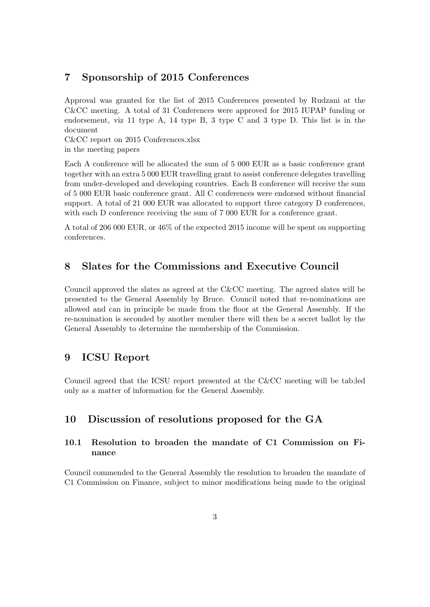### 7 Sponsorship of 2015 Conferences

Approval was granted for the list of 2015 Conferences presented by Rudzani at the C&CC meeting. A total of 31 Conferences were approved for 2015 IUPAP funding or endorsement, viz 11 type A, 14 type B, 3 type C and 3 type D. This list is in the document

C&CC report on 2015 Conferences.xlsx in the meeting papers

Each A conference will be allocated the sum of 5 000 EUR as a basic conference grant together with an extra 5 000 EUR travelling grant to assist conference delegates travelling from under-developed and developing countries. Each B conference will receive the sum of 5 000 EUR basic conference grant. All C conferences were endorsed without financial support. A total of 21 000 EUR was allocated to support three category D conferences, with each D conference receiving the sum of 7 000 EUR for a conference grant.

A total of 206 000 EUR, or 46% of the expected 2015 income will be spent on supporting conferences.

### 8 Slates for the Commissions and Executive Council

Council approved the slates as agreed at the C&CC meeting. The agreed slates will be presented to the General Assembly by Bruce. Council noted that re-nominations are allowed and can in principle be made from the floor at the General Assembly. If the re-nomination is seconded by another member there will then be a secret ballot by the General Assembly to determine the membership of the Commission.

#### 9 ICSU Report

Council agreed that the ICSU report presented at the C&CC meeting will be tab;led only as a matter of information for the General Assembly.

### 10 Discussion of resolutions proposed for the GA

#### 10.1 Resolution to broaden the mandate of C1 Commission on Finance

Council commended to the General Assembly the resolution to broaden the mandate of C1 Commission on Finance, subject to minor modifications being made to the original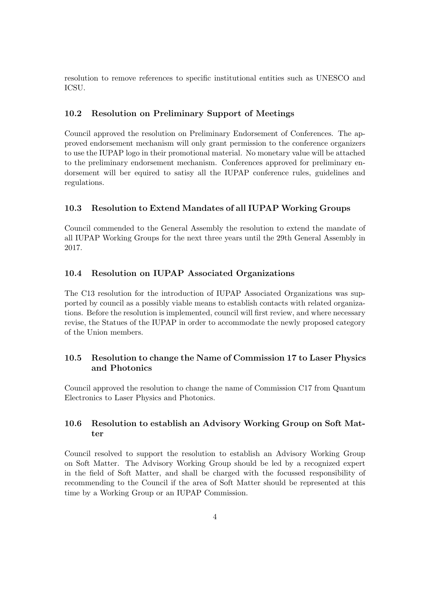resolution to remove references to specific institutional entities such as UNESCO and ICSU.

#### 10.2 Resolution on Preliminary Support of Meetings

Council approved the resolution on Preliminary Endorsement of Conferences. The approved endorsement mechanism will only grant permission to the conference organizers to use the IUPAP logo in their promotional material. No monetary value will be attached to the preliminary endorsement mechanism. Conferences approved for preliminary endorsement will ber equired to satisy all the IUPAP conference rules, guidelines and regulations.

#### 10.3 Resolution to Extend Mandates of all IUPAP Working Groups

Council commended to the General Assembly the resolution to extend the mandate of all IUPAP Working Groups for the next three years until the 29th General Assembly in 2017.

#### 10.4 Resolution on IUPAP Associated Organizations

The C13 resolution for the introduction of IUPAP Associated Organizations was supported by council as a possibly viable means to establish contacts with related organizations. Before the resolution is implemented, council will first review, and where necessary revise, the Statues of the IUPAP in order to accommodate the newly proposed category of the Union members.

#### 10.5 Resolution to change the Name of Commission 17 to Laser Physics and Photonics

Council approved the resolution to change the name of Commission C17 from Quantum Electronics to Laser Physics and Photonics.

#### 10.6 Resolution to establish an Advisory Working Group on Soft Matter

Council resolved to support the resolution to establish an Advisory Working Group on Soft Matter. The Advisory Working Group should be led by a recognized expert in the field of Soft Matter, and shall be charged with the focussed responsibility of recommending to the Council if the area of Soft Matter should be represented at this time by a Working Group or an IUPAP Commission.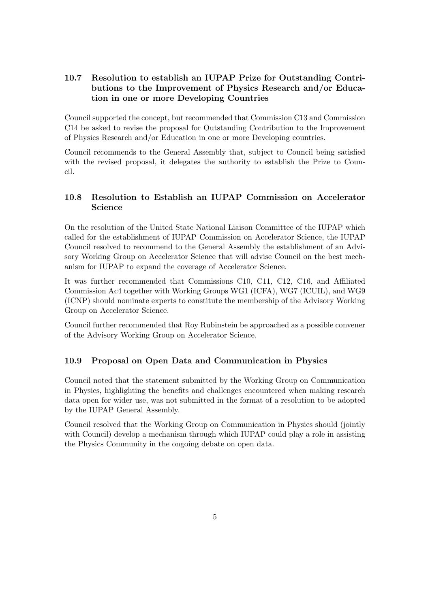### 10.7 Resolution to establish an IUPAP Prize for Outstanding Contributions to the Improvement of Physics Research and/or Education in one or more Developing Countries

Council supported the concept, but recommended that Commission C13 and Commission C14 be asked to revise the proposal for Outstanding Contribution to the Improvement of Physics Research and/or Education in one or more Developing countries.

Council recommends to the General Assembly that, subject to Council being satisfied with the revised proposal, it delegates the authority to establish the Prize to Council.

#### 10.8 Resolution to Establish an IUPAP Commission on Accelerator Science

On the resolution of the United State National Liaison Committee of the IUPAP which called for the establishment of IUPAP Commission on Accelerator Science, the IUPAP Council resolved to recommend to the General Assembly the establishment of an Advisory Working Group on Accelerator Science that will advise Council on the best mechanism for IUPAP to expand the coverage of Accelerator Science.

It was further recommended that Commissions C10, C11, C12, C16, and Affiliated Commission Ac4 together with Working Groups WG1 (ICFA), WG7 (ICUIL), and WG9 (ICNP) should nominate experts to constitute the membership of the Advisory Working Group on Accelerator Science.

Council further recommended that Roy Rubinstein be approached as a possible convener of the Advisory Working Group on Accelerator Science.

#### 10.9 Proposal on Open Data and Communication in Physics

Council noted that the statement submitted by the Working Group on Communication in Physics, highlighting the benefits and challenges encountered when making research data open for wider use, was not submitted in the format of a resolution to be adopted by the IUPAP General Assembly.

Council resolved that the Working Group on Communication in Physics should (jointly with Council) develop a mechanism through which IUPAP could play a role in assisting the Physics Community in the ongoing debate on open data.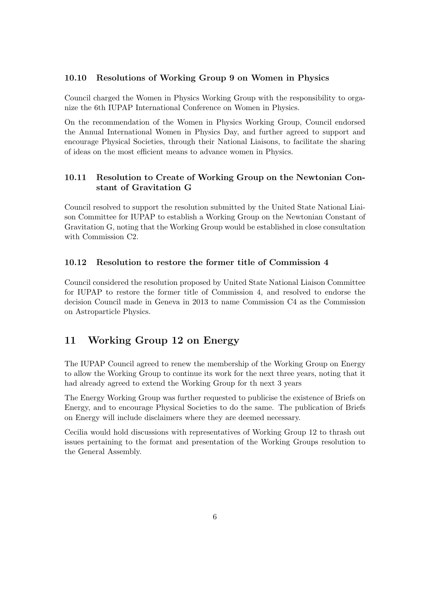#### 10.10 Resolutions of Working Group 9 on Women in Physics

Council charged the Women in Physics Working Group with the responsibility to organize the 6th IUPAP International Conference on Women in Physics.

On the recommendation of the Women in Physics Working Group, Council endorsed the Annual International Women in Physics Day, and further agreed to support and encourage Physical Societies, through their National Liaisons, to facilitate the sharing of ideas on the most efficient means to advance women in Physics.

#### 10.11 Resolution to Create of Working Group on the Newtonian Constant of Gravitation G

Council resolved to support the resolution submitted by the United State National Liaison Committee for IUPAP to establish a Working Group on the Newtonian Constant of Gravitation G, noting that the Working Group would be established in close consultation with Commission C2.

#### 10.12 Resolution to restore the former title of Commission 4

Council considered the resolution proposed by United State National Liaison Committee for IUPAP to restore the former title of Commission 4, and resolved to endorse the decision Council made in Geneva in 2013 to name Commission C4 as the Commission on Astroparticle Physics.

### 11 Working Group 12 on Energy

The IUPAP Council agreed to renew the membership of the Working Group on Energy to allow the Working Group to continue its work for the next three years, noting that it had already agreed to extend the Working Group for th next 3 years

The Energy Working Group was further requested to publicise the existence of Briefs on Energy, and to encourage Physical Societies to do the same. The publication of Briefs on Energy will include disclaimers where they are deemed necessary.

Cecilia would hold discussions with representatives of Working Group 12 to thrash out issues pertaining to the format and presentation of the Working Groups resolution to the General Assembly.